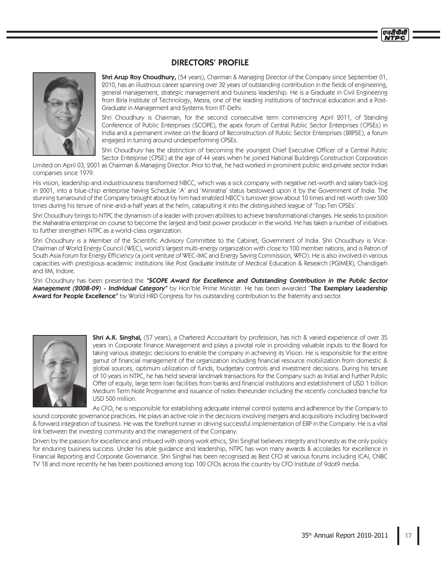## **DIRECTORS' PROFILE**



**Shri Arup Roy Choudhury,** (54 years), Chairman & Managing Director of the Company since September 01, 2010, has an illustrious career spanning over 32 years of outstanding contribution in the fields of engineering, general management, strategic management and business leadership. He is a Graduate in Civil Engineering from Birla Institute of Technology, Mesra, one of the leading institutions of technical education and a Post-Graduate in Management and Systems from IIT-Delhi.

Shri Choudhury is Chairman, for the second consecutive term commencing April 2011, of Standing Conference of Public Enterprises (SCOPE), the apex forum of Central Public Sector Enterprises (CPSEs) in India and a permanent invitee on the Board of Reconstruction of Public Sector Enterprises (BRPSE), a forum engaged in turning around underperforming CPSEs.

Shri Choudhury has the distinction of becoming the youngest Chief Executive Officer of a Central Public Sector Enterprise (CPSE) at the age of 44 years when he joined National Buildings Construction Corporation

Limited on April 03, 2001 as Chairman & Managing Director. Prior to that, he had worked in prominent public and private sector Indian companies since 1979.

His vision, leadership and industriousness transformed NBCC, which was a sick company with negative net-worth and salary back-log in 2001, into a blue-chip enterprise having Schedule 'A' and 'Miniratna' status bestowed upon it by the Government of India. The stunning turnaround of the Company brought about by him had enabled NBCC's turnover grow about 10 times and net-worth over 500 times during his tenure of nine-and-a-half years at the helm, catapulting it into the distinguished league of 'Top Ten CPSEs'.

Shri Choudhury brings to NTPC the dynamism of a leader with proven abilities to achieve transformational changes. He seeks to position the Maharatna enterprise on course to become the largest and best power producer in the world. He has taken a number of initiatives to further strengthen NTPC as a world-class organization.

Shri Choudhury is a Member of the Scientific Advisory Committee to the Cabinet, Government of India. Shri Choudhury is Vice-Chairman of World Energy Council (WEC), world's largest multi-energy organization with close to 100 member nations, and is Patron of South Asia Forum for Energy Efficiency (a joint venture of WEC-IMC and Energy Saving Commission, WFO). He is also involved in various capacities with prestigious academic institutions like Post Graduate Institute of Medical Education & Research (PGIMER), Chandigarh and IIM, Indore.

Shri Choudhury has been presented the "SCOPE Award for Excellence and Outstanding Contribution in the Public Sector Management (2008-09) - Individual Category" by Hon'ble Prime Minister. He has been awarded "The Exemplary Leadership Award for People Excellence" by World HRD Congress for his outstanding contribution to the fraternity and sector.



**Shri A.K. Singhal,** (57 years), a Chartered Accountant by profession, has rich & varied experience of over 35 years in Corporate Finance Management and plays a pivotal role in providing valuable inputs to the Board for taking various strategic decisions to enable the company in achieving its Vision. He is responsible for the entire gamut of financial management of the organization including financial resource mobilization from domestic & global sources, optimum utilization of funds, budgetary controls and investment decisions. During his tenure of 10 years in NTPC, he has held several landmark transactions for the Company such as Initial and Further Public Offer of equity, large term loan facilities from banks and financial institutions and establishment of USD 1 billion Medium Term Note Programme and issuance of notes thereunder including the recently concluded tranche for USD 500 million.

As CFO, he is responsible for establishing adequate internal control systems and adherence by the Company to sound corporate governance practices. He plays an active role in the decisions involving mergers and acquisitions including backward & forward integration of business. He was the forefront runner in driving successful implementation of ERP in the Company. He is a vital link between the investing community and the management of the Company.

Driven by the passion for excellence and imbued with strong work ethics, Shri Singhal believes integrity and honesty as the only policy for enduring business success. Under his able guidance and leadership, NTPC has won many awards & accolades for excellence in Financial Reporting and Corporate Governance. Shri Singhal has been recognised as Best CFO at various forums including ICAI, CNBC TV 18 and more recently he has been positioned among top 100 CFOs across the country by CFO Institute of 9dot9 media.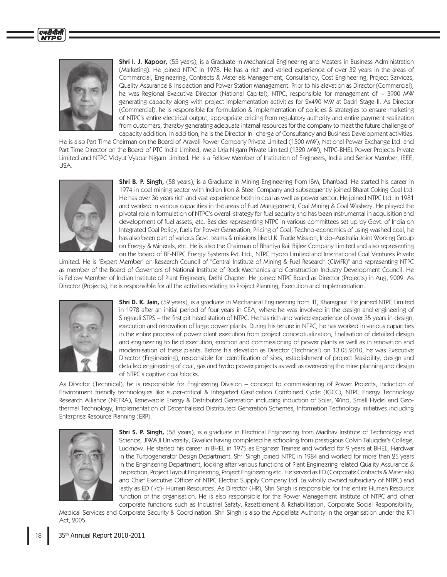

Shri I. J. Kapoor, (55 years), is a Graduate in Mechanical Engineering and Masters in Business Administration (Marketing). He joined NTPC in 1978. He has a rich and varied experience of over 32 years in the areas of Commercial, Engineering, Contracts & Materials Management, Consultancy, Cost Engineering, Project Services, Quality Assurance & Inspection and Power Station Management. Prior to his elevation as Director (Commercial), he was Regional Executive Director (National Capital), NTPC, responsible for management of  $\sim$  3900 MW generating capacity along with project implementation activities for 2x490 MW at Dadri Stage-II. As Director (Commercial), he is responsible for formulation & implementation of policies & strategies to ensure marketing of NTPC's entire electrical output, appropriate pricing from regulatory authority and entire payment realization from customers, thereby generating adequate internal resources for the company to meet the future challenge of capacity addition. In addition, he is the Director In-charge of Consultancy and Business Development activities.

He is also Part Time Chairman on the Board of Aravali Power Company Private Limited (1500 MW), National Power Exchange Ltd. and Part Time Director on the Board of PTC India Limited, Meja Uria Nigam Private Limited (1320 MW), NTPC-BHEL Power Projects Private Limited and NTPC Vidyut Vyapar Nigam Limited. He is a Fellow Member of Institution of Engineers, India and Senior Member, IEEE, USA.



Shri B. P. Singh, (58 years), is a Graduate in Mining Engineering from ISM, Dhanbad. He started his career in 1974 in coal mining sector with Indian Iron & Steel Company and subsequently joined Bharat Coking Coal Ltd. He has over 36 years rich and vast experience both in coal as well as power sector. He joined NTPC Ltd. in 1981 and worked in various capacities in the areas of Fuel Management, Coal Mining & Coal Washery. He played the pivotal role in formulation of NTPC's overall strategy for fuel security and has been instrumental in acquisition and development of fuel assets, etc. Besides representing NTPC in various committees set up by Govt. of India on Integrated Coal Policy, fuels for Power Generation, Pricing of Coal, Techno-economics of using washed coal, he has also been part of various Govt. teams & missions like U.K. Trade Mission, Indo–Australia Joint Working Group on Energy & Minerals, etc. He is also the Chairman of Bhartiya Rail Bijlee Company Limited and also representing on the board of BF-NTPC Energy Systems Pvt. Ltd., NTPC Hydro Limited and International Coal Ventures Private

Limited. He is 'Expert Member' on Research Council of "Central Institute of Mining & Fuel Research (CIMFR)" and representing NTPC as member of the Board of Governors of National Institute of Rock Mechanics and Construction Industry Development Council. He is Fellow Member of Indian Institute of Plant Engineers, Delhi Chapter. He joined NTPC Board as Director (Projects) in Aug, 2009. As Director (Projects), he is responsible for all the activities relating to Project Planning, Execution and Implementation.



**Shri D. K. Jain,** (59 years), is a graduate in Mechanical Engineering from IIT, Kharagpur. He joined NTPC Limited in 1978 after an initial period of four years in CEA, where he was involved in the design and engineering of Singrauli STPS - the first pit head station of NTPC. He has rich and varied experience of over 35 years in design, execution and renovation of large power plants. During his tenure in NTPC, he has worked in various capacities in the entire process of power plant execution from project conceptualization, finalisation of detailed design and engineering to field execution, erection and commissioning of power plants as well as in renovation and modernisation of these plants. Before his elevation as Director (Technical) on 13.05.2010, he was Executive Director (Engineering), responsible for identification of sites, establishment of project feasibility, design and detailed engineering of coal, gas and hydro power projects as well as overseeing the mine planning and design of NTPC's captive coal blocks.

As Director (Technical), he is responsible for Engineering Division - concept to commissioning of Power Projects, Induction of Environment friendly technologies like super-critical & Integarted Gasification Combined Cycle (IGCC), NTPC Energy Technology Research Alliance (NETRA), Renewable Energy & Distributed Generation including induction of Solar, Wind, Small Hydel and Geothermal Technology, Implementation of Decentralised Distributed Generation Schemes, Information Technology initiatives including Enterprise Resource Planning (ERP).



Shri S. P. Singh, (58 years), is a graduate in Electrical Engineering from Madhav Institute of Technology and Science, JIWAJI University, Gwalior having completed his schooling from prestigious Colvin Taluqdar's College, Lucknow. He started his career in BHEL in 1975 as Engineer Trainee and worked for 9 years at BHEL, Hardwar in the Turbogenerator Design Department. Shri Singh joined NTPC in 1984 and worked for more than 25 years in the Engineering Department, looking after various functions of Plant Engineering related Quality Assurance & Inspection, Project Layout Engineering, Project Engineering etc. He served as ED (Corporate Contracts & Materials) and Chief Executive Officer of NTPC Electric Supply Company Ltd. (a wholly owned subsidiary of NTPC) and lastly as ED (I/c)- Human Resources. As Director (HR), Shri Singh is responsible for the entire Human Resource function of the organisation. He is also responsible for the Power Management Institute of NTPC and other corporate functions such as Industrial Safety, Resettlement & Rehabilitation, Corporate Social Responsibility,

Medical Services and Corporate Security & Coordination. Shri Singh is also the Appellate Authority in the organisation under the RTI Act, 2005.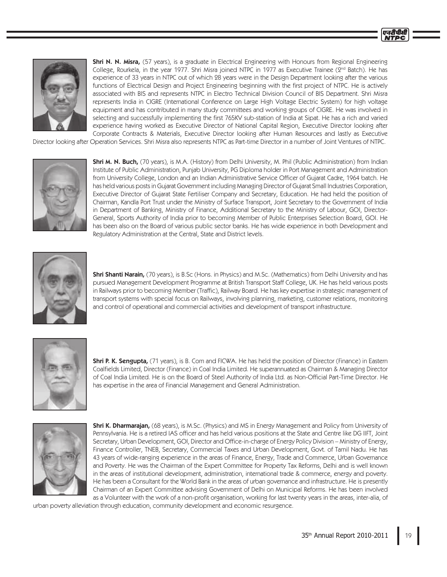**Shri N. N. Misra,** (57 years), is a graduate in Electrical Engineering with Honours from Regional Engineering College, Rourkela, in the year 1977. Shri Misra joined NTPC in 1977 as Executive Trainee (2<sup>nd</sup> Batch). He has experience of 33 years in NTPC out of which 28 years were in the Design Department looking after the various functions of Electrical Design and Project Engineering beginning with the first project of NTPC. He is actively associated with BIS and represents NTPC in Electro Technical Division Council of BIS Department. Shri Misra represents India in CIGRE (International Conference on Large High Voltage Electric System) for high voltage equipment and has contributed in many study committees and working groups of CIGRE. He was involved in selecting and successfully implementing the first 765KV sub-station of India at Sipat. He has a rich and varied experience having worked as Executive Director of National Capital Region, Executive Director looking after Corporate Contracts & Materials, Executive Director looking after Human Resources and lastly as Executive

Director looking after Operation Services. Shri Misra also represents NTPC as Part-time Director in a number of Joint Ventures of NTPC.



Shri M. N. Buch, (70 years), is M.A. (History) from Delhi University, M. Phil (Public Administration) from Indian Institute of Public Administration, Punjab University, PG Diploma holder in Port Management and Administration from University College, London and an Indian Administrative Service Officer of Gujarat Cadre, 1964 batch. He has held various posts in Gujarat Government including Managing Director of Gujarat Small Industries Corporation, Executive Director of Gujarat State Fertiliser Company and Secretary, Education. He had held the position of Chairman, Kandla Port Trust under the Ministry of Surface Transport, Joint Secretary to the Government of India in Department of Banking, Ministry of Finance, Additional Secretary to the Ministry of Labour, GOI, Director-General, Sports Authority of India prior to becoming Member of Public Enterprises Selection Board, GOI. He has been also on the Board of various public sector banks. He has wide experience in both Development and Regulatory Administration at the Central, State and District levels.



**Shri Shanti Narain,** (70 years), is B.Sc (Hons. in Physics) and M.Sc. (Mathematics) from Delhi University and has pursued Management Development Programme at British Transport Staff College, UK. He has held various posts in Railways prior to becoming Member (Traffic), Railway Board. He has key expertise in strategic management of transport systems with special focus on Railways, involving planning, marketing, customer relations, monitoring and control of operational and commercial activities and development of transport infrastructure.



Shri P. K. Sengupta, (71 years), is B. Com and FICWA. He has held the position of Director (Finance) in Eastern Coalfields Limited, Director (Finance) in Coal India Limited. He superannuated as Chairman & Managing Director of Coal India Limited. He is on the Board of Steel Authority of India Ltd. as Non-Official Part-Time Director. He has expertise in the area of Financial Management and General Administration.



Shri K. Dharmarajan, (68 years), is M.Sc. (Physics) and MS in Energy Management and Policy from University of Pennsylvania. He is a retired IAS officer and has held various positions at the State and Centre like DG IIFT, Joint Secretary, Urban Development, GOI, Director and Office-in-charge of Energy Policy Division - Ministry of Energy, Finance Controller, TNEB, Secretary, Commercial Taxes and Urban Development, Govt. of Tamil Nadu. He has 43 years of wide-ranging experience in the areas of Finance, Energy, Trade and Commerce, Urban Governance and Poverty. He was the Chairman of the Expert Committee for Property Tax Reforms, Delhi and is well known in the areas of institutional development, administration, international trade & commerce, energy and poverty. He has been a Consultant for the World Bank in the areas of urban governance and infrastructure. He is presently Chairman of an Expert Committee advising Government of Delhi on Municipal Reforms. He has been involved as a Volunteer with the work of a non-profit organisation, working for last twenty years in the areas, inter-alia, of

urban poverty alleviation through education, community development and economic resurgence.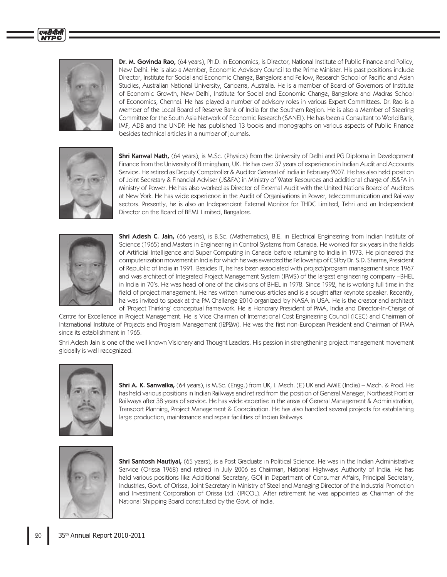

एनटीपीसी

Dr. M. Govinda Rao, (64 years), Ph.D. in Economics, is Director, National Institute of Public Finance and Policy, New Delhi. He is also a Member, Economic Advisory Council to the Prime Minister. His past positions include Director, Institute for Social and Economic Change, Bangalore and Fellow, Research School of Pacific and Asian Studies, Australian National University, Canberra, Australia. He is a member of Board of Governors of Institute of Economic Growth, New Delhi, Institute for Social and Economic Change, Bangalore and Madras School of Economics, Chennai. He has played a number of advisory roles in various Expert Committees. Dr. Rao is a Member of the Local Board of Reserve Bank of India for the Southern Region. He is also a Member of Steering Committee for the South Asia Network of Economic Research (SANEI). He has been a Consultant to World Bank, IMF, ADB and the UNDP. He has published 13 books and monographs on various aspects of Public Finance besides technical articles in a number of journals.



**Shri Kanwal Nath,** (64 years), is M.Sc. (Physics) from the University of Delhi and PG Diploma in Development Finance from the University of Birmingham, UK. He has over 37 years of experience in Indian Audit and Accounts Service. He retired as Deputy Comptroller & Auditor General of India in February 2007. He has also held position of Joint Secretary & Financial Adviser (JS&FA) in Ministry of Water Resources and additional charge of JS&FA in Ministry of Power. He has also worked as Director of External Audit with the United Nations Board of Auditors at New York. He has wide experience in the Audit of Organisations in Power, telecommunication and Railway sectors. Presently, he is also an Independent External Monitor for THDC Limited, Tehri and an Independent Director on the Board of BEML Limited, Bangalore.



**Shri Adesh C. Jain,** (66 years), is B.Sc. (Mathematics), B.E. in Electrical Engineering from Indian Institute of Science (1965) and Masters in Engineering in Control Systems from Canada. He worked for six years in the fields of Artificial Intelligence and Super Computing in Canada before returning to India in 1973. He pioneered the computerization movement in India for which he was awarded the Fellowship of CSI by Dr. S.D. Sharma, President of Republic of India in 1991. Besides IT, he has been associated with project/program management since 1967 and was architect of Integrated Project Management System (IPMS) of the largest engineering company –BHEL in India in 70's. He was head of one of the divisions of BHEL in 1978. Since 1992, he is working full time in the field of project management. He has written numerous articles and is a sought after keynote speaker. Recently, he was invited to speak at the PM Challenge 2010 organized by NASA in USA. He is the creator and architect of 'Project Thinking' conceptual framework. He is Honorary President of PMA, India and Director-In-Charge of

Centre for Excellence in Project Management. He is Vice Chairman of International Cost Engineering Council (ICEC) and Chairman of International Institute of Projects and Program Management (I2P2M). He was the first non-European President and Chairman of IPMA since its establishment in 1965.

Shri Adesh Jain is one of the well known Visionary and Thought Leaders. His passion in strengthening project management movement globally is well recognized.



**Shri A. K. Sanwalka,** (64 years), is M.Sc. (Engg.) from UK, I. Mech. (E) UK and AMIE (India) – Mech. & Prod. He has held various positions in Indian Railways and retired from the position of General Manager, Northeast Frontier Railways after 38 years of service. He has wide expertise in the areas of General Management & Administration, Transport Planning, Project Management & Coordination. He has also handled several projects for establishing large production, maintenance and repair facilities of Indian Railways.



**Shri Santosh Nautiyal,** (65 years), is a Post Graduate in Political Science. He was in the Indian Administrative Service (Orissa 1968) and retired in July 2006 as Chairman, National Highways Authority of India. He has held various positions like Additional Secretary, GOI in Department of Consumer Affairs, Principal Secretary, Industries, Govt. of Orissa, Joint Secretary in Ministry of Steel and Managing Director of the Industrial Promotion and Investment Corporation of Orissa Ltd. (IPICOL). After retirement he was appointed as Chairman of the National Shipping Board constituted by the Govt. of India.